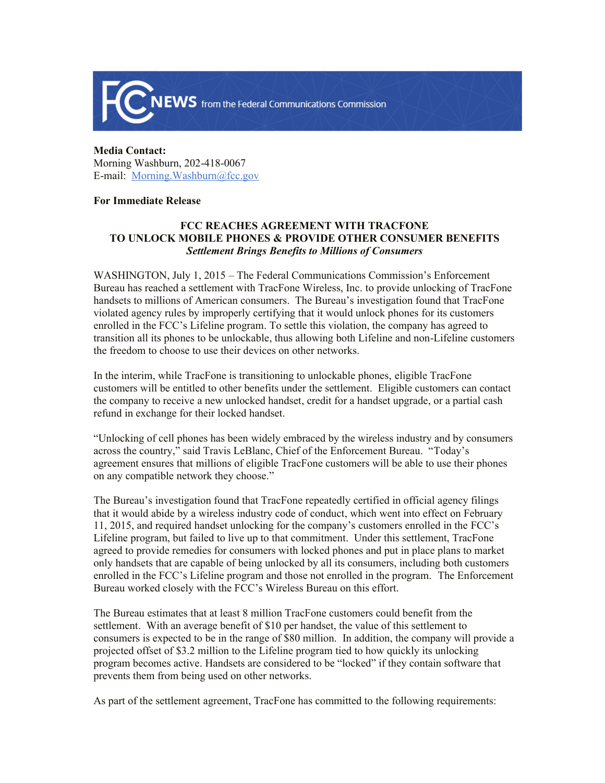

**Media Contact:**  Morning Washburn, 202-418-0067 E-mail: Morning.Washburn@fcc.gov

## **For Immediate Release**

## **FCC REACHES AGREEMENT WITH TRACFONE TO UNLOCK MOBILE PHONES & PROVIDE OTHER CONSUMER BENEFITS** *Settlement Brings Benefits to Millions of Consumers*

WASHINGTON, July 1, 2015 – The Federal Communications Commission's Enforcement Bureau has reached a settlement with TracFone Wireless, Inc. to provide unlocking of TracFone handsets to millions of American consumers. The Bureau's investigation found that TracFone violated agency rules by improperly certifying that it would unlock phones for its customers enrolled in the FCC's Lifeline program. To settle this violation, the company has agreed to transition all its phones to be unlockable, thus allowing both Lifeline and non-Lifeline customers the freedom to choose to use their devices on other networks.

In the interim, while TracFone is transitioning to unlockable phones, eligible TracFone customers will be entitled to other benefits under the settlement. Eligible customers can contact the company to receive a new unlocked handset, credit for a handset upgrade, or a partial cash refund in exchange for their locked handset.

"Unlocking of cell phones has been widely embraced by the wireless industry and by consumers across the country," said Travis LeBlanc, Chief of the Enforcement Bureau. "Today's agreement ensures that millions of eligible TracFone customers will be able to use their phones on any compatible network they choose."

The Bureau's investigation found that TracFone repeatedly certified in official agency filings that it would abide by a wireless industry code of conduct, which went into effect on February 11, 2015, and required handset unlocking for the company's customers enrolled in the FCC's Lifeline program, but failed to live up to that commitment. Under this settlement, TracFone agreed to provide remedies for consumers with locked phones and put in place plans to market only handsets that are capable of being unlocked by all its consumers, including both customers enrolled in the FCC's Lifeline program and those not enrolled in the program. The Enforcement Bureau worked closely with the FCC's Wireless Bureau on this effort.

The Bureau estimates that at least 8 million TracFone customers could benefit from the settlement. With an average benefit of \$10 per handset, the value of this settlement to consumers is expected to be in the range of \$80 million. In addition, the company will provide a projected offset of \$3.2 million to the Lifeline program tied to how quickly its unlocking program becomes active. Handsets are considered to be "locked" if they contain software that prevents them from being used on other networks.

As part of the settlement agreement, TracFone has committed to the following requirements: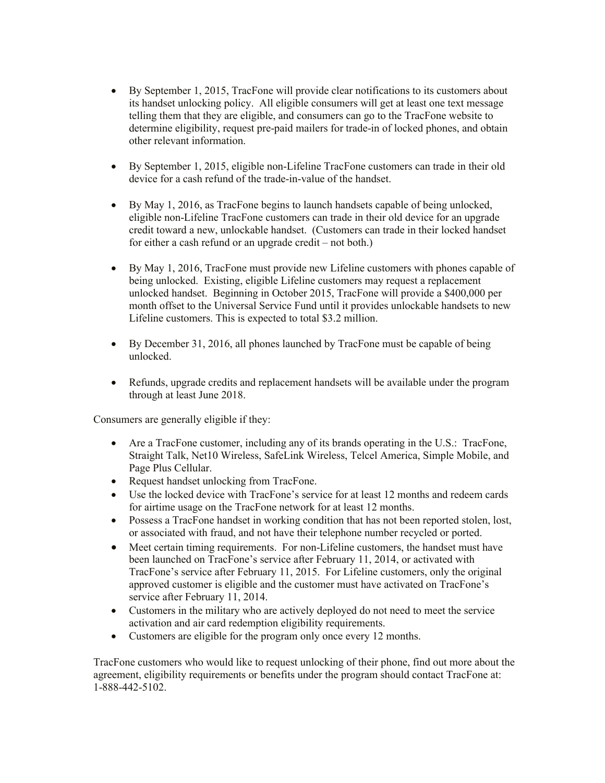- By September 1, 2015, TracFone will provide clear notifications to its customers about its handset unlocking policy. All eligible consumers will get at least one text message telling them that they are eligible, and consumers can go to the TracFone website to determine eligibility, request pre-paid mailers for trade-in of locked phones, and obtain other relevant information.
- By September 1, 2015, eligible non-Lifeline TracFone customers can trade in their old device for a cash refund of the trade-in-value of the handset.
- By May 1, 2016, as TracFone begins to launch handsets capable of being unlocked, eligible non-Lifeline TracFone customers can trade in their old device for an upgrade credit toward a new, unlockable handset. (Customers can trade in their locked handset for either a cash refund or an upgrade credit – not both.)
- By May 1, 2016, TracFone must provide new Lifeline customers with phones capable of being unlocked. Existing, eligible Lifeline customers may request a replacement unlocked handset. Beginning in October 2015, TracFone will provide a \$400,000 per month offset to the Universal Service Fund until it provides unlockable handsets to new Lifeline customers. This is expected to total \$3.2 million.
- By December 31, 2016, all phones launched by TracFone must be capable of being unlocked.
- Refunds, upgrade credits and replacement handsets will be available under the program through at least June 2018.

Consumers are generally eligible if they:

- Are a TracFone customer, including any of its brands operating in the U.S.: TracFone, Straight Talk, Net10 Wireless, SafeLink Wireless, Telcel America, Simple Mobile, and Page Plus Cellular.
- Request handset unlocking from TracFone.
- Use the locked device with TracFone's service for at least 12 months and redeem cards for airtime usage on the TracFone network for at least 12 months.
- Possess a TracFone handset in working condition that has not been reported stolen, lost, or associated with fraud, and not have their telephone number recycled or ported.
- Meet certain timing requirements. For non-Lifeline customers, the handset must have been launched on TracFone's service after February 11, 2014, or activated with TracFone's service after February 11, 2015. For Lifeline customers, only the original approved customer is eligible and the customer must have activated on TracFone's service after February 11, 2014.
- Customers in the military who are actively deployed do not need to meet the service activation and air card redemption eligibility requirements.
- Customers are eligible for the program only once every 12 months.

TracFone customers who would like to request unlocking of their phone, find out more about the agreement, eligibility requirements or benefits under the program should contact TracFone at: 1-888-442-5102.